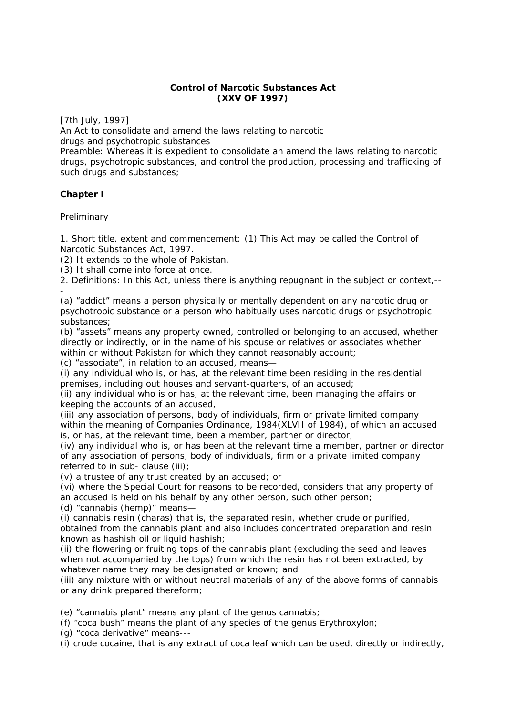### **Control of Narcotic Substances Act (XXV OF 1997)**

*[7th July, 1997]*

An Act to consolidate and amend the laws relating to narcotic drugs and psychotropic substances

Preamble: Whereas it is expedient to consolidate an amend the laws relating to narcotic drugs, psychotropic substances, and control the production, processing and trafficking of such drugs and substances;

## **Chapter I**

**Preliminary** 

1. Short title, extent and commencement: (1) This Act may be called the Control of Narcotic Substances Act, 1997.

(2) It extends to the whole of Pakistan.

(3) It shall come into force at once.

2. Definitions: In this Act, unless there is anything repugnant in the subject or context,--

- (a) "addict" means a person physically or mentally dependent on any narcotic drug or psychotropic substance or a person who habitually uses narcotic drugs or psychotropic substances;

(b) "assets" means any property owned, controlled or belonging to an accused, whether directly or indirectly, or in the name of his spouse or relatives or associates whether within or without Pakistan for which they cannot reasonably account;

(c) "associate", in relation to an accused, means—

(i) any individual who is, or has, at the relevant time been residing in the residential premises, including out houses and servant-quarters, of an accused;

(ii) any individual who is or has, at the relevant time, been managing the affairs or keeping the accounts of an accused,

(iii) any association of persons, body of individuals, firm or private limited company within the meaning of Companies Ordinance, 1984(XLVII of 1984), of which an accused is, or has, at the relevant time, been a member, partner or director;

(iv) any individual who is, or has been at the relevant time a member, partner or director of any association of persons, body of individuals, firm or a private limited company referred to in sub- clause (iii);

(v) a trustee of any trust created by an accused; or

(vi) where the Special Court for reasons to be recorded, considers that any property of an accused is held on his behalf by any other person, such other person;

(d) "cannabis (hemp)" means—

(i) cannabis resin (charas) that is, the separated resin, whether crude or purified, obtained from the cannabis plant and also includes concentrated preparation and resin known as hashish oil or liquid hashish;

(ii) the flowering or fruiting tops of the cannabis plant (excluding the seed and leaves when not accompanied by the tops) from which the resin has not been extracted, by whatever name they may be designated or known; and

(iii) any mixture with or without neutral materials of any of the above forms of cannabis or any drink prepared thereform;

(e) "cannabis plant" means any plant of the genus cannabis;

(f) "coca bush" means the plant of any species of the genus Erythroxylon;

(g) "coca derivative" means---

(i) crude cocaine, that is any extract of coca leaf which can be used, directly or indirectly,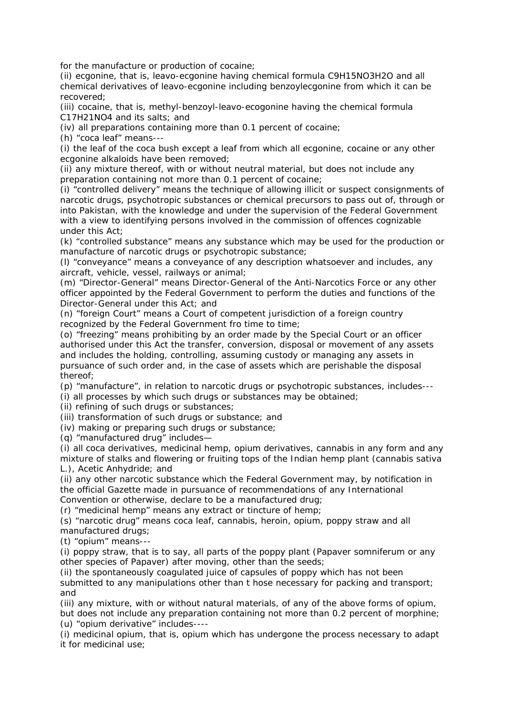for the manufacture or production of cocaine;

(ii) ecgonine, that is, leavo-ecgonine having chemical formula C9H15NO3H2O and all chemical derivatives of leavo-ecgonine including benzoylecgonine from which it can be recovered;

(iii) cocaine, that is, methyl-benzoyl-leavo-ecogonine having the chemical formula C17H21NO4 and its salts; and

(iv) all preparations containing more than 0.1 percent of cocaine;

(h) "coca leaf" means---

(i) the leaf of the coca bush except a leaf from which all ecgonine, cocaine or any other ecgonine alkaloids have been removed;

(ii) any mixture thereof, with or without neutral material, but does not include any preparation containing not more than 0.1 percent of cocaine;

(i) "controlled delivery" means the technique of allowing illicit or suspect consignments of narcotic drugs, psychotropic substances or chemical precursors to pass out of, through or into Pakistan, with the knowledge and under the supervision of the Federal Government with a view to identifying persons involved in the commission of offences cognizable under this Act;

(k) "controlled substance" means any substance which may be used for the production or manufacture of narcotic drugs or psychotropic substance;

(l) "conveyance" means a conveyance of any description whatsoever and includes, any aircraft, vehicle, vessel, railways or animal;

(m) "Director-General" means Director-General of the Anti-Narcotics Force or any other officer appointed by the Federal Government to perform the duties and functions of the Director-General under this Act; and

(n) "foreign Court" means a Court of competent jurisdiction of a foreign country recognized by the Federal Government fro time to time;

(o) "freezing" means prohibiting by an order made by the Special Court or an officer authorised under this Act the transfer, conversion, disposal or movement of any assets and includes the holding, controlling, assuming custody or managing any assets in pursuance of such order and, in the case of assets which are perishable the disposal thereof;

(p) "manufacture", in relation to narcotic drugs or psychotropic substances, includes---

(i) all processes by which such drugs or substances may be obtained;

(ii) refining of such drugs or substances;

(iii) transformation of such drugs or substance; and

(iv) making or preparing such drugs or substance;

(q) "manufactured drug" includes—

(i) all coca derivatives, medicinal hemp, opium derivatives, cannabis in any form and any mixture of stalks and flowering or fruiting tops of the Indian hemp plant (cannabis sativa L.), Acetic Anhydride; and

(ii) any other narcotic substance which the Federal Government may, by notification in the official Gazette made in pursuance of recommendations of any International Convention or otherwise, declare to be a manufactured drug;

(r) "medicinal hemp" means any extract or tincture of hemp;

(s) "narcotic drug" means coca leaf, cannabis, heroin, opium, poppy straw and all manufactured drugs;

(t) "opium" means---

(i) poppy straw, that is to say, all parts of the poppy plant (Papaver somniferum or any other species of Papaver) after moving, other than the seeds;

(ii) the spontaneously coagulated juice of capsules of poppy which has not been submitted to any manipulations other than t hose necessary for packing and transport; and

(iii) any mixture, with or without natural materials, of any of the above forms of opium, but does not include any preparation containing not more than 0.2 percent of morphine; (u) "opium derivative" includes----

(i) medicinal opium, that is, opium which has undergone the process necessary to adapt it for medicinal use;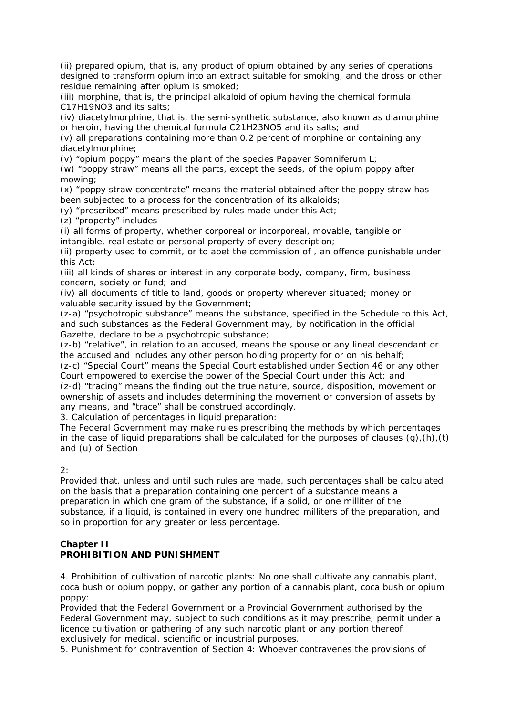(ii) prepared opium, that is, any product of opium obtained by any series of operations designed to transform opium into an extract suitable for smoking, and the dross or other residue remaining after opium is smoked;

(iii) morphine, that is, the principal alkaloid of opium having the chemical formula C17H19NO3 and its salts;

(iv) diacetylmorphine, that is, the semi-synthetic substance, also known as diamorphine or heroin, having the chemical formula C21H23NO5 and its salts; and

(v) all preparations containing more than 0.2 percent of morphine or containing any diacetylmorphine;

(v) "opium poppy" means the plant of the species Papaver Somniferum L;

(w) "poppy straw" means all the parts, except the seeds, of the opium poppy after mowing;

(x) "poppy straw concentrate" means the material obtained after the poppy straw has been subjected to a process for the concentration of its alkaloids;

(y) "prescribed" means prescribed by rules made under this Act;

(z) "property" includes—

(i) all forms of property, whether corporeal or incorporeal, movable, tangible or intangible, real estate or personal property of every description;

(ii) property used to commit, or to abet the commission of , an offence punishable under this Act;

(iii) all kinds of shares or interest in any corporate body, company, firm, business concern, society or fund; and

(iv) all documents of title to land, goods or property wherever situated; money or valuable security issued by the Government;

(z-a) "psychotropic substance" means the substance, specified in the Schedule to this Act, and such substances as the Federal Government may, by notification in the official Gazette, declare to be a psychotropic substance;

(z-b) "relative", in relation to an accused, means the spouse or any lineal descendant or the accused and includes any other person holding property for or on his behalf;

(z-c) "Special Court" means the Special Court established under Section 46 or any other Court empowered to exercise the power of the Special Court under this Act; and (z-d) "tracing" means the finding out the true nature, source, disposition, movement or ownership of assets and includes determining the movement or conversion of assets by any means, and "trace" shall be construed accordingly.

3. Calculation of percentages in liquid preparation:

The Federal Government may make rules prescribing the methods by which percentages in the case of liquid preparations shall be calculated for the purposes of clauses  $(q)$ , $(h)$ , $(t)$ and (u) of Section

2:

Provided that, unless and until such rules are made, such percentages shall be calculated on the basis that a preparation containing one percent of a substance means a preparation in which one gram of the substance, if a solid, or one milliter of the substance, if a liquid, is contained in every one hundred milliters of the preparation, and so in proportion for any greater or less percentage.

#### **Chapter II PROHIBITION AND PUNISHMENT**

4. Prohibition of cultivation of narcotic plants: No one shall cultivate any cannabis plant, coca bush or opium poppy, or gather any portion of a cannabis plant, coca bush or opium poppy:

Provided that the Federal Government or a Provincial Government authorised by the Federal Government may, subject to such conditions as it may prescribe, permit under a licence cultivation or gathering of any such narcotic plant or any portion thereof exclusively for medical, scientific or industrial purposes.

5. Punishment for contravention of Section 4: Whoever contravenes the provisions of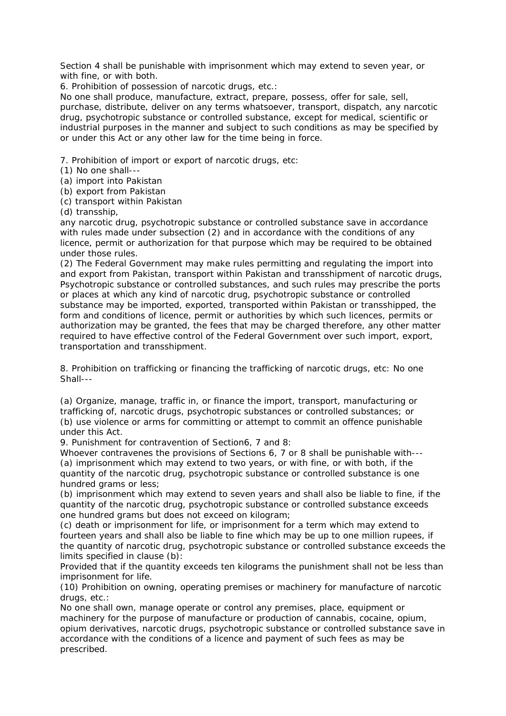Section 4 shall be punishable with imprisonment which may extend to seven year, or with fine, or with both.

6. Prohibition of possession of narcotic drugs, etc.:

No one shall produce, manufacture, extract, prepare, possess, offer for sale, sell, purchase, distribute, deliver on any terms whatsoever, transport, dispatch, any narcotic drug, psychotropic substance or controlled substance, except for medical, scientific or industrial purposes in the manner and subject to such conditions as may be specified by or under this Act or any other law for the time being in force.

7. Prohibition of import or export of narcotic drugs, etc:

(1) No one shall---

- (a) import into Pakistan
- (b) export from Pakistan
- (c) transport within Pakistan
- (d) transship,

any narcotic drug, psychotropic substance or controlled substance save in accordance with rules made under subsection (2) and in accordance with the conditions of any licence, permit or authorization for that purpose which may be required to be obtained under those rules.

(2) The Federal Government may make rules permitting and regulating the import into and export from Pakistan, transport within Pakistan and transshipment of narcotic drugs, Psychotropic substance or controlled substances, and such rules may prescribe the ports or places at which any kind of narcotic drug, psychotropic substance or controlled substance may be imported, exported, transported within Pakistan or transshipped, the form and conditions of licence, permit or authorities by which such licences, permits or authorization may be granted, the fees that may be charged therefore, any other matter required to have effective control of the Federal Government over such import, export, transportation and transshipment.

8. Prohibition on trafficking or financing the trafficking of narcotic drugs, etc: No one Shall---

(a) Organize, manage, traffic in, or finance the import, transport, manufacturing or trafficking of, narcotic drugs, psychotropic substances or controlled substances; or (b) use violence or arms for committing or attempt to commit an offence punishable under this Act.

9. Punishment for contravention of Section6, 7 and 8:

Whoever contravenes the provisions of Sections 6, 7 or 8 shall be punishable with--- (a) imprisonment which may extend to two years, or with fine, or with both, if the quantity of the narcotic drug, psychotropic substance or controlled substance is one hundred grams or less;

(b) imprisonment which may extend to seven years and shall also be liable to fine, if the quantity of the narcotic drug, psychotropic substance or controlled substance exceeds one hundred grams but does not exceed on kilogram;

(c) death or imprisonment for life, or imprisonment for a term which may extend to fourteen years and shall also be liable to fine which may be up to one million rupees, if the quantity of narcotic drug, psychotropic substance or controlled substance exceeds the limits specified in clause (b):

Provided that if the quantity exceeds ten kilograms the punishment shall not be less than imprisonment for life.

(10) Prohibition on owning, operating premises or machinery for manufacture of narcotic drugs, etc.:

No one shall own, manage operate or control any premises, place, equipment or machinery for the purpose of manufacture or production of cannabis, cocaine, opium, opium derivatives, narcotic drugs, psychotropic substance or controlled substance save in accordance with the conditions of a licence and payment of such fees as may be prescribed.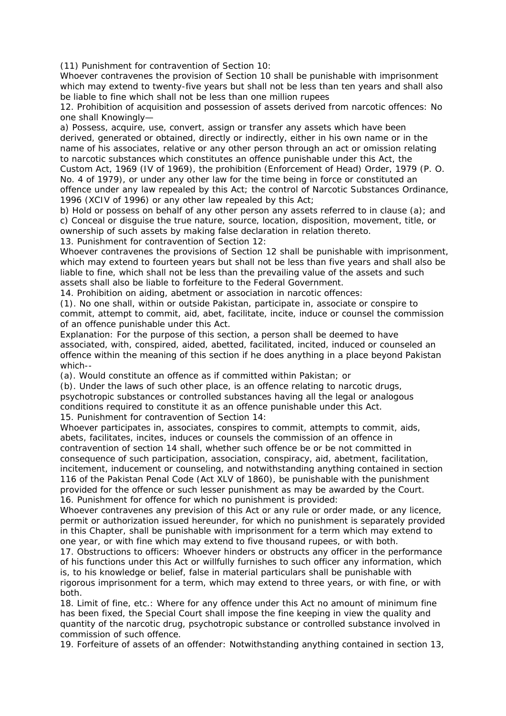(11) Punishment for contravention of Section 10:

Whoever contravenes the provision of Section 10 shall be punishable with imprisonment which may extend to twenty-five years but shall not be less than ten years and shall also be liable to fine which shall not be less than one million rupees

12. Prohibition of acquisition and possession of assets derived from narcotic offences: No one shall Knowingly—

a) Possess, acquire, use, convert, assign or transfer any assets which have been derived, generated or obtained, directly or indirectly, either in his own name or in the name of his associates, relative or any other person through an act or omission relating to narcotic substances which constitutes an offence punishable under this Act, the Custom Act, 1969 (IV of 1969), the prohibition (Enforcement of Head) Order, 1979 (P. O. No. 4 of 1979), or under any other law for the time being in force or constituted an offence under any law repealed by this Act; the control of Narcotic Substances Ordinance, 1996 (XCIV of 1996) or any other law repealed by this Act;

b) Hold or possess on behalf of any other person any assets referred to in clause (a); and c) Conceal or disguise the true nature, source, location, disposition, movement, title, or ownership of such assets by making false declaration in relation thereto.

13. Punishment for contravention of Section 12:

Whoever contravenes the provisions of Section 12 shall be punishable with imprisonment, which may extend to fourteen years but shall not be less than five years and shall also be liable to fine, which shall not be less than the prevailing value of the assets and such assets shall also be liable to forfeiture to the Federal Government.

14. Prohibition on aiding, abetment or association in narcotic offences:

(1). No one shall, within or outside Pakistan, participate in, associate or conspire to commit, attempt to commit, aid, abet, facilitate, incite, induce or counsel the commission of an offence punishable under this Act.

Explanation: For the purpose of this section, a person shall be deemed to have associated, with, conspired, aided, abetted, facilitated, incited, induced or counseled an offence within the meaning of this section if he does anything in a place beyond Pakistan which--

(a). Would constitute an offence as if committed within Pakistan; or

(b). Under the laws of such other place, is an offence relating to narcotic drugs, psychotropic substances or controlled substances having all the legal or analogous conditions required to constitute it as an offence punishable under this Act. 15. Punishment for contravention of Section 14:

Whoever participates in, associates, conspires to commit, attempts to commit, aids, abets, facilitates, incites, induces or counsels the commission of an offence in contravention of section 14 shall, whether such offence be or be not committed in consequence of such participation, association, conspiracy, aid, abetment, facilitation, incitement, inducement or counseling, and notwithstanding anything contained in section 116 of the Pakistan Penal Code (Act XLV of 1860), be punishable with the punishment provided for the offence or such lesser punishment as may be awarded by the Court. 16. Punishment for offence for which no punishment is provided:

Whoever contravenes any prevision of this Act or any rule or order made, or any licence, permit or authorization issued hereunder, for which no punishment is separately provided in this Chapter, shall be punishable with imprisonment for a term which may extend to one year, or with fine which may extend to five thousand rupees, or with both.

17. Obstructions to officers: Whoever hinders or obstructs any officer in the performance of his functions under this Act or willfully furnishes to such officer any information, which is, to his knowledge or belief, false in material particulars shall be punishable with rigorous imprisonment for a term, which may extend to three years, or with fine, or with both.

18. Limit of fine, etc.: Where for any offence under this Act no amount of minimum fine has been fixed, the Special Court shall impose the fine keeping in view the quality and quantity of the narcotic drug, psychotropic substance or controlled substance involved in commission of such offence.

19. Forfeiture of assets of an offender: Notwithstanding anything contained in section 13,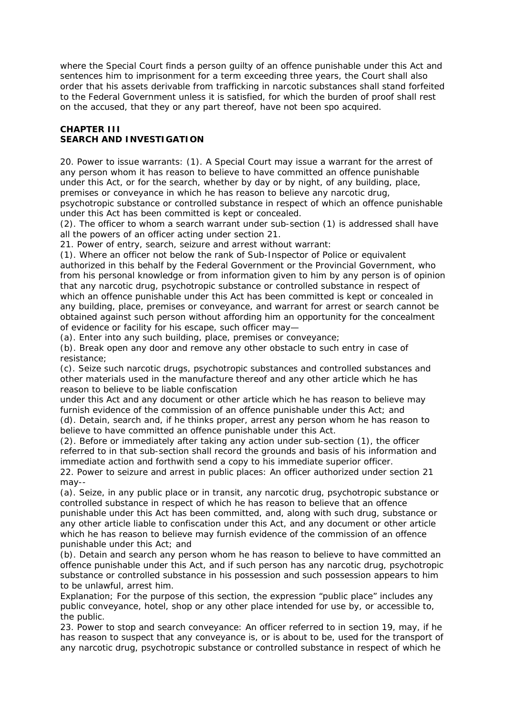where the Special Court finds a person guilty of an offence punishable under this Act and sentences him to imprisonment for a term exceeding three years, the Court shall also order that his assets derivable from trafficking in narcotic substances shall stand forfeited to the Federal Government unless it is satisfied, for which the burden of proof shall rest on the accused, that they or any part thereof, have not been spo acquired.

## **CHAPTER III SEARCH AND INVESTIGATION**

20. Power to issue warrants: (1). A Special Court may issue a warrant for the arrest of any person whom it has reason to believe to have committed an offence punishable under this Act, or for the search, whether by day or by night, of any building, place, premises or conveyance in which he has reason to believe any narcotic drug, psychotropic substance or controlled substance in respect of which an offence punishable

under this Act has been committed is kept or concealed.

(2). The officer to whom a search warrant under sub-section (1) is addressed shall have all the powers of an officer acting under section 21.

21. Power of entry, search, seizure and arrest without warrant:

(1). Where an officer not below the rank of Sub-Inspector of Police or equivalent authorized in this behalf by the Federal Government or the Provincial Government, who from his personal knowledge or from information given to him by any person is of opinion that any narcotic drug, psychotropic substance or controlled substance in respect of which an offence punishable under this Act has been committed is kept or concealed in any building, place, premises or conveyance, and warrant for arrest or search cannot be obtained against such person without affording him an opportunity for the concealment of evidence or facility for his escape, such officer may—

(a). Enter into any such building, place, premises or conveyance;

(b). Break open any door and remove any other obstacle to such entry in case of resistance;

(c). Seize such narcotic drugs, psychotropic substances and controlled substances and other materials used in the manufacture thereof and any other article which he has reason to believe to be liable confiscation

under this Act and any document or other article which he has reason to believe may furnish evidence of the commission of an offence punishable under this Act; and (d). Detain, search and, if he thinks proper, arrest any person whom he has reason to believe to have committed an offence punishable under this Act.

(2). Before or immediately after taking any action under sub-section (1), the officer referred to in that sub-section shall record the grounds and basis of his information and immediate action and forthwith send a copy to his immediate superior officer.

22. Power to seizure and arrest in public places: An officer authorized under section 21 may--

(a). Seize, in any public place or in transit, any narcotic drug, psychotropic substance or controlled substance in respect of which he has reason to believe that an offence punishable under this Act has been committed, and, along with such drug, substance or any other article liable to confiscation under this Act, and any document or other article which he has reason to believe may furnish evidence of the commission of an offence punishable under this Act; and

(b). Detain and search any person whom he has reason to believe to have committed an offence punishable under this Act, and if such person has any narcotic drug, psychotropic substance or controlled substance in his possession and such possession appears to him to be unlawful, arrest him.

Explanation; For the purpose of this section, the expression "public place" includes any public conveyance, hotel, shop or any other place intended for use by, or accessible to, the public.

23. Power to stop and search conveyance: An officer referred to in section 19, may, if he has reason to suspect that any conveyance is, or is about to be, used for the transport of any narcotic drug, psychotropic substance or controlled substance in respect of which he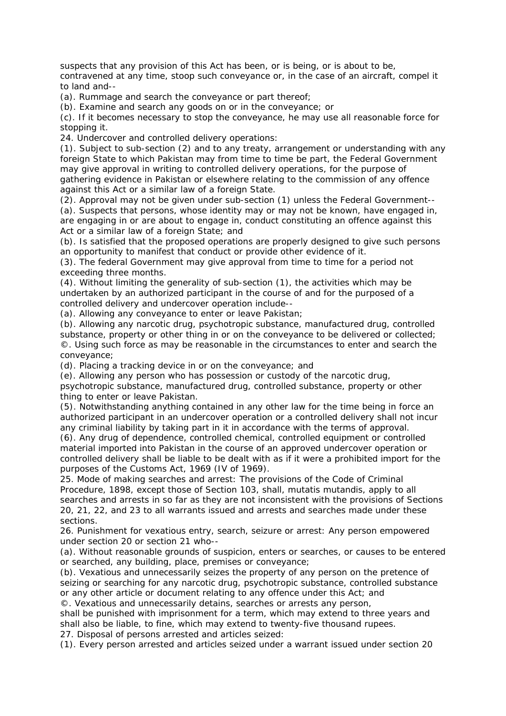suspects that any provision of this Act has been, or is being, or is about to be, contravened at any time, stoop such conveyance or, in the case of an aircraft, compel it to land and--

(a). Rummage and search the conveyance or part thereof;

(b). Examine and search any goods on or in the conveyance; or

(c). If it becomes necessary to stop the conveyance, he may use all reasonable force for stopping it.

24. Undercover and controlled delivery operations:

(1). Subject to sub-section (2) and to any treaty, arrangement or understanding with any foreign State to which Pakistan may from time to time be part, the Federal Government may give approval in writing to controlled delivery operations, for the purpose of gathering evidence in Pakistan or elsewhere relating to the commission of any offence against this Act or a similar law of a foreign State.

(2). Approval may not be given under sub-section (1) unless the Federal Government--

(a). Suspects that persons, whose identity may or may not be known, have engaged in, are engaging in or are about to engage in, conduct constituting an offence against this Act or a similar law of a foreign State; and

(b). Is satisfied that the proposed operations are properly designed to give such persons an opportunity to manifest that conduct or provide other evidence of it.

(3). The federal Government may give approval from time to time for a period not exceeding three months.

(4). Without limiting the generality of sub-section (1), the activities which may be undertaken by an authorized participant in the course of and for the purposed of a controlled delivery and undercover operation include--

(a). Allowing any conveyance to enter or leave Pakistan;

(b). Allowing any narcotic drug, psychotropic substance, manufactured drug, controlled substance, property or other thing in or on the conveyance to be delivered or collected; ©. Using such force as may be reasonable in the circumstances to enter and search the conveyance;

(d). Placing a tracking device in or on the conveyance; and

(e). Allowing any person who has possession or custody of the narcotic drug,

psychotropic substance, manufactured drug, controlled substance, property or other thing to enter or leave Pakistan.

(5). Notwithstanding anything contained in any other law for the time being in force an authorized participant in an undercover operation or a controlled delivery shall not incur any criminal liability by taking part in it in accordance with the terms of approval.

(6). Any drug of dependence, controlled chemical, controlled equipment or controlled material imported into Pakistan in the course of an approved undercover operation or controlled delivery shall be liable to be dealt with as if it were a prohibited import for the purposes of the Customs Act, 1969 (IV of 1969).

25. Mode of making searches and arrest: The provisions of the Code of Criminal Procedure, 1898, except those of Section 103, shall, mutatis mutandis, apply to all searches and arrests in so far as they are not inconsistent with the provisions of Sections 20, 21, 22, and 23 to all warrants issued and arrests and searches made under these sections.

26. Punishment for vexatious entry, search, seizure or arrest: Any person empowered under section 20 or section 21 who--

(a). Without reasonable grounds of suspicion, enters or searches, or causes to be entered or searched, any building, place, premises or conveyance;

(b). Vexatious and unnecessarily seizes the property of any person on the pretence of seizing or searching for any narcotic drug, psychotropic substance, controlled substance or any other article or document relating to any offence under this Act; and

©. Vexatious and unnecessarily detains, searches or arrests any person,

shall be punished with imprisonment for a term, which may extend to three years and shall also be liable, to fine, which may extend to twenty-five thousand rupees.

27. Disposal of persons arrested and articles seized:

(1). Every person arrested and articles seized under a warrant issued under section 20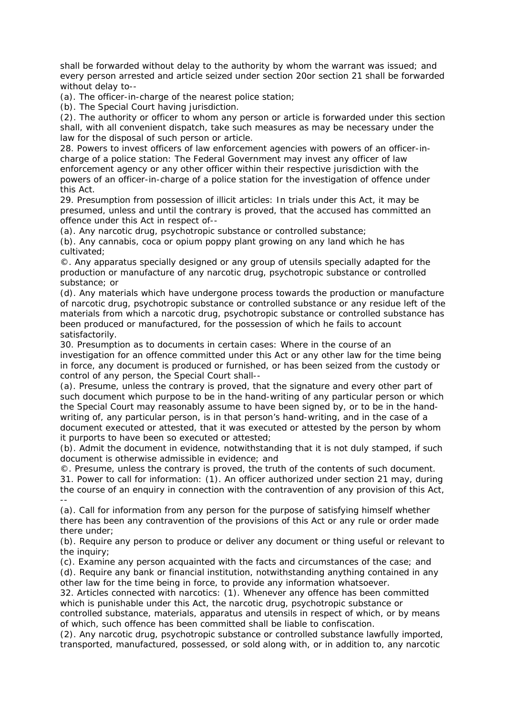shall be forwarded without delay to the authority by whom the warrant was issued; and every person arrested and article seized under section 20or section 21 shall be forwarded without delay to--

(a). The officer-in-charge of the nearest police station;

(b). The Special Court having jurisdiction.

(2). The authority or officer to whom any person or article is forwarded under this section shall, with all convenient dispatch, take such measures as may be necessary under the law for the disposal of such person or article.

28. Powers to invest officers of law enforcement agencies with powers of an officer-incharge of a police station: The Federal Government may invest any officer of law enforcement agency or any other officer within their respective jurisdiction with the powers of an officer-in-charge of a police station for the investigation of offence under this Act.

29. Presumption from possession of illicit articles: In trials under this Act, it may be presumed, unless and until the contrary is proved, that the accused has committed an offence under this Act in respect of--

(a). Any narcotic drug, psychotropic substance or controlled substance;

(b). Any cannabis, coca or opium poppy plant growing on any land which he has cultivated;

©. Any apparatus specially designed or any group of utensils specially adapted for the production or manufacture of any narcotic drug, psychotropic substance or controlled substance; or

(d). Any materials which have undergone process towards the production or manufacture of narcotic drug, psychotropic substance or controlled substance or any residue left of the materials from which a narcotic drug, psychotropic substance or controlled substance has been produced or manufactured, for the possession of which he fails to account satisfactorily.

30. Presumption as to documents in certain cases: Where in the course of an investigation for an offence committed under this Act or any other law for the time being in force, any document is produced or furnished, or has been seized from the custody or control of any person, the Special Court shall--

(a). Presume, unless the contrary is proved, that the signature and every other part of such document which purpose to be in the hand-writing of any particular person or which the Special Court may reasonably assume to have been signed by, or to be in the handwriting of, any particular person, is in that person's hand-writing, and in the case of a document executed or attested, that it was executed or attested by the person by whom it purports to have been so executed or attested;

(b). Admit the document in evidence, notwithstanding that it is not duly stamped, if such document is otherwise admissible in evidence; and

©. Presume, unless the contrary is proved, the truth of the contents of such document.

31. Power to call for information: (1). An officer authorized under section 21 may, during the course of an enquiry in connection with the contravention of any provision of this Act, --

(a). Call for information from any person for the purpose of satisfying himself whether there has been any contravention of the provisions of this Act or any rule or order made there under;

(b). Require any person to produce or deliver any document or thing useful or relevant to the inquiry;

(c). Examine any person acquainted with the facts and circumstances of the case; and (d). Require any bank or financial institution, notwithstanding anything contained in any

other law for the time being in force, to provide any information whatsoever. 32. Articles connected with narcotics: (1). Whenever any offence has been committed which is punishable under this Act, the narcotic drug, psychotropic substance or controlled substance, materials, apparatus and utensils in respect of which, or by means of which, such offence has been committed shall be liable to confiscation.

(2). Any narcotic drug, psychotropic substance or controlled substance lawfully imported, transported, manufactured, possessed, or sold along with, or in addition to, any narcotic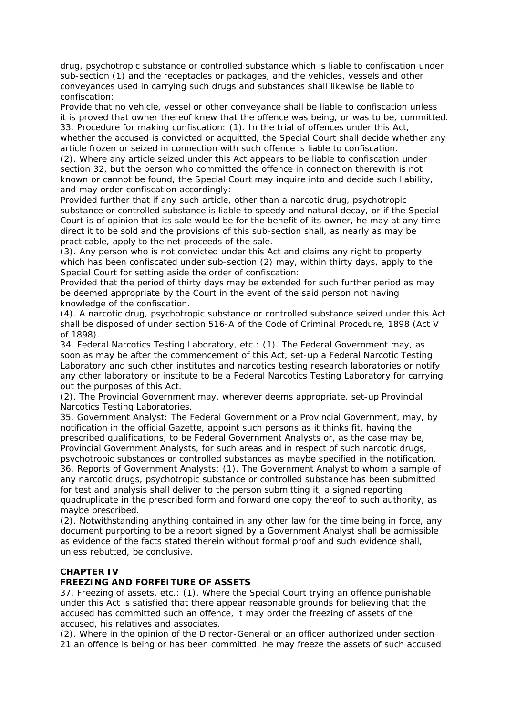drug, psychotropic substance or controlled substance which is liable to confiscation under sub-section (1) and the receptacles or packages, and the vehicles, vessels and other conveyances used in carrying such drugs and substances shall likewise be liable to confiscation:

Provide that no vehicle, vessel or other conveyance shall be liable to confiscation unless it is proved that owner thereof knew that the offence was being, or was to be, committed. 33. Procedure for making confiscation: (1). In the trial of offences under this Act, whether the accused is convicted or acquitted, the Special Court shall decide whether any

article frozen or seized in connection with such offence is liable to confiscation. (2). Where any article seized under this Act appears to be liable to confiscation under section 32, but the person who committed the offence in connection therewith is not known or cannot be found, the Special Court may inquire into and decide such liability, and may order confiscation accordingly:

Provided further that if any such article, other than a narcotic drug, psychotropic substance or controlled substance is liable to speedy and natural decay, or if the Special Court is of opinion that its sale would be for the benefit of its owner, he may at any time direct it to be sold and the provisions of this sub-section shall, as nearly as may be practicable, apply to the net proceeds of the sale.

(3). Any person who is not convicted under this Act and claims any right to property which has been confiscated under sub-section (2) may, within thirty days, apply to the Special Court for setting aside the order of confiscation:

Provided that the period of thirty days may be extended for such further period as may be deemed appropriate by the Court in the event of the said person not having knowledge of the confiscation.

(4). A narcotic drug, psychotropic substance or controlled substance seized under this Act shall be disposed of under section 516-A of the Code of Criminal Procedure, 1898 (Act V of 1898).

34. Federal Narcotics Testing Laboratory, etc.: (1). The Federal Government may, as soon as may be after the commencement of this Act, set-up a Federal Narcotic Testing Laboratory and such other institutes and narcotics testing research laboratories or notify any other laboratory or institute to be a Federal Narcotics Testing Laboratory for carrying out the purposes of this Act.

(2). The Provincial Government may, wherever deems appropriate, set-up Provincial Narcotics Testing Laboratories.

35. Government Analyst: The Federal Government or a Provincial Government, may, by notification in the official Gazette, appoint such persons as it thinks fit, having the prescribed qualifications, to be Federal Government Analysts or, as the case may be, Provincial Government Analysts, for such areas and in respect of such narcotic drugs, psychotropic substances or controlled substances as maybe specified in the notification. 36. Reports of Government Analysts: (1). The Government Analyst to whom a sample of any narcotic drugs, psychotropic substance or controlled substance has been submitted for test and analysis shall deliver to the person submitting it, a signed reporting quadruplicate in the prescribed form and forward one copy thereof to such authority, as maybe prescribed.

(2). Notwithstanding anything contained in any other law for the time being in force, any document purporting to be a report signed by a Government Analyst shall be admissible as evidence of the facts stated therein without formal proof and such evidence shall, unless rebutted, be conclusive.

# **CHAPTER IV**

#### **FREEZING AND FORFEITURE OF ASSETS**

37. Freezing of assets, etc.: (1). Where the Special Court trying an offence punishable under this Act is satisfied that there appear reasonable grounds for believing that the accused has committed such an offence, it may order the freezing of assets of the accused, his relatives and associates.

(2). Where in the opinion of the Director-General or an officer authorized under section 21 an offence is being or has been committed, he may freeze the assets of such accused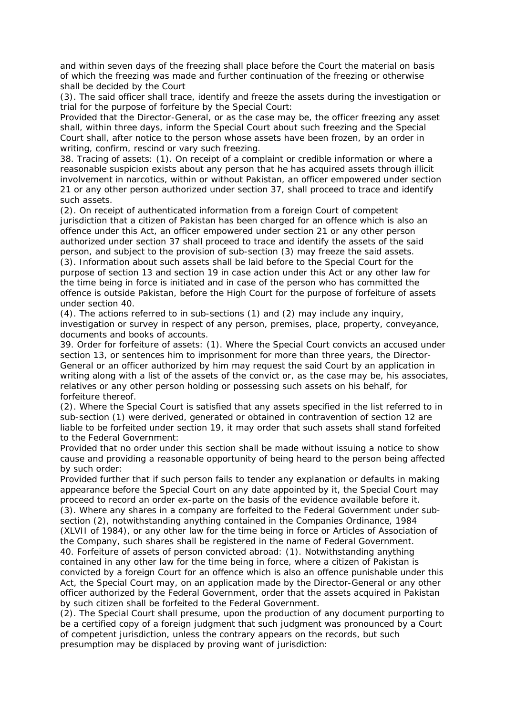and within seven days of the freezing shall place before the Court the material on basis of which the freezing was made and further continuation of the freezing or otherwise shall be decided by the Court

(3). The said officer shall trace, identify and freeze the assets during the investigation or trial for the purpose of forfeiture by the Special Court:

Provided that the Director-General, or as the case may be, the officer freezing any asset shall, within three days, inform the Special Court about such freezing and the Special Court shall, after notice to the person whose assets have been frozen, by an order in writing, confirm, rescind or vary such freezing.

38. Tracing of assets: (1). On receipt of a complaint or credible information or where a reasonable suspicion exists about any person that he has acquired assets through illicit involvement in narcotics, within or without Pakistan, an officer empowered under section 21 or any other person authorized under section 37, shall proceed to trace and identify such assets.

(2). On receipt of authenticated information from a foreign Court of competent jurisdiction that a citizen of Pakistan has been charged for an offence which is also an offence under this Act, an officer empowered under section 21 or any other person authorized under section 37 shall proceed to trace and identify the assets of the said person, and subject to the provision of sub-section (3) may freeze the said assets. (3). Information about such assets shall be laid before to the Special Court for the purpose of section 13 and section 19 in case action under this Act or any other law for the time being in force is initiated and in case of the person who has committed the offence is outside Pakistan, before the High Court for the purpose of forfeiture of assets under section 40.

(4). The actions referred to in sub-sections (1) and (2) may include any inquiry, investigation or survey in respect of any person, premises, place, property, conveyance, documents and books of accounts.

39. Order for forfeiture of assets: (1). Where the Special Court convicts an accused under section 13, or sentences him to imprisonment for more than three years, the Director-General or an officer authorized by him may request the said Court by an application in writing along with a list of the assets of the convict or, as the case may be, his associates, relatives or any other person holding or possessing such assets on his behalf, for forfeiture thereof.

(2). Where the Special Court is satisfied that any assets specified in the list referred to in sub-section (1) were derived, generated or obtained in contravention of section 12 are liable to be forfeited under section 19, it may order that such assets shall stand forfeited to the Federal Government:

Provided that no order under this section shall be made without issuing a notice to show cause and providing a reasonable opportunity of being heard to the person being affected by such order:

Provided further that if such person fails to tender any explanation or defaults in making appearance before the Special Court on any date appointed by it, the Special Court may proceed to record an order ex-parte on the basis of the evidence available before it. (3). Where any shares in a company are forfeited to the Federal Government under subsection (2), notwithstanding anything contained in the Companies Ordinance, 1984 (XLVII of 1984), or any other law for the time being in force or Articles of Association of the Company, such shares shall be registered in the name of Federal Government. 40. Forfeiture of assets of person convicted abroad: (1). Notwithstanding anything contained in any other law for the time being in force, where a citizen of Pakistan is convicted by a foreign Court for an offence which is also an offence punishable under this Act, the Special Court may, on an application made by the Director-General or any other officer authorized by the Federal Government, order that the assets acquired in Pakistan by such citizen shall be forfeited to the Federal Government.

(2). The Special Court shall presume, upon the production of any document purporting to be a certified copy of a foreign judgment that such judgment was pronounced by a Court of competent jurisdiction, unless the contrary appears on the records, but such presumption may be displaced by proving want of jurisdiction: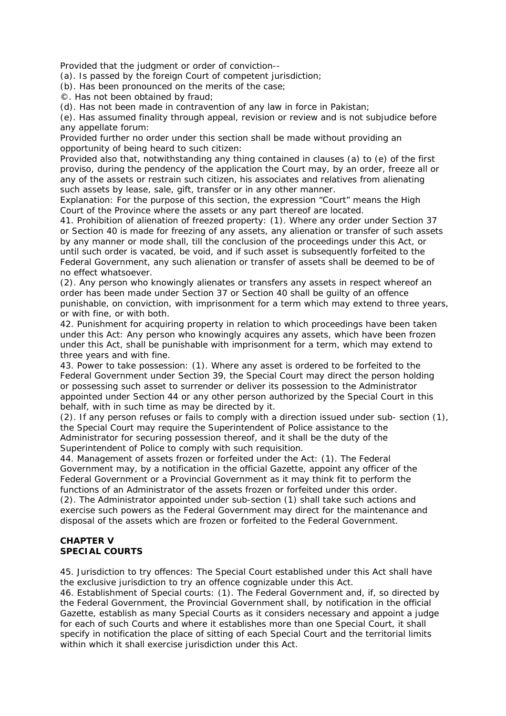Provided that the judgment or order of conviction--

(a). Is passed by the foreign Court of competent jurisdiction;

(b). Has been pronounced on the merits of the case;

©. Has not been obtained by fraud;

(d). Has not been made in contravention of any law in force in Pakistan;

(e). Has assumed finality through appeal, revision or review and is not subjudice before any appellate forum:

Provided further no order under this section shall be made without providing an opportunity of being heard to such citizen:

Provided also that, notwithstanding any thing contained in clauses (a) to (e) of the first proviso, during the pendency of the application the Court may, by an order, freeze all or any of the assets or restrain such citizen, his associates and relatives from alienating such assets by lease, sale, gift, transfer or in any other manner.

Explanation: For the purpose of this section, the expression "Court" means the High Court of the Province where the assets or any part thereof are located.

41. Prohibition of alienation of freezed property: (1). Where any order under Section 37 or Section 40 is made for freezing of any assets, any alienation or transfer of such assets by any manner or mode shall, till the conclusion of the proceedings under this Act, or until such order is vacated, be void, and if such asset is subsequently forfeited to the Federal Government, any such alienation or transfer of assets shall be deemed to be of no effect whatsoever.

(2). Any person who knowingly alienates or transfers any assets in respect whereof an order has been made under Section 37 or Section 40 shall be guilty of an offence punishable, on conviction, with imprisonment for a term which may extend to three years, or with fine, or with both.

42. Punishment for acquiring property in relation to which proceedings have been taken under this Act: Any person who knowingly acquires any assets, which have been frozen under this Act, shall be punishable with imprisonment for a term, which may extend to three years and with fine.

43. Power to take possession: (1). Where any asset is ordered to be forfeited to the Federal Government under Section 39, the Special Court may direct the person holding or possessing such asset to surrender or deliver its possession to the Administrator appointed under Section 44 or any other person authorized by the Special Court in this behalf, with in such time as may be directed by it.

(2). If any person refuses or fails to comply with a direction issued under sub- section (1), the Special Court may require the Superintendent of Police assistance to the Administrator for securing possession thereof, and it shall be the duty of the Superintendent of Police to comply with such requisition.

44. Management of assets frozen or forfeited under the Act: (1). The Federal Government may, by a notification in the official Gazette, appoint any officer of the Federal Government or a Provincial Government as it may think fit to perform the functions of an Administrator of the assets frozen or forfeited under this order.

(2). The Administrator appointed under sub-section (1) shall take such actions and exercise such powers as the Federal Government may direct for the maintenance and disposal of the assets which are frozen or forfeited to the Federal Government.

# **CHAPTER V SPECIAL COURTS**

45. Jurisdiction to try offences: The Special Court established under this Act shall have the exclusive jurisdiction to try an offence cognizable under this Act.

46. Establishment of Special courts: (1). The Federal Government and, if, so directed by the Federal Government, the Provincial Government shall, by notification in the official Gazette, establish as many Special Courts as it considers necessary and appoint a judge for each of such Courts and where it establishes more than one Special Court, it shall specify in notification the place of sitting of each Special Court and the territorial limits within which it shall exercise jurisdiction under this Act.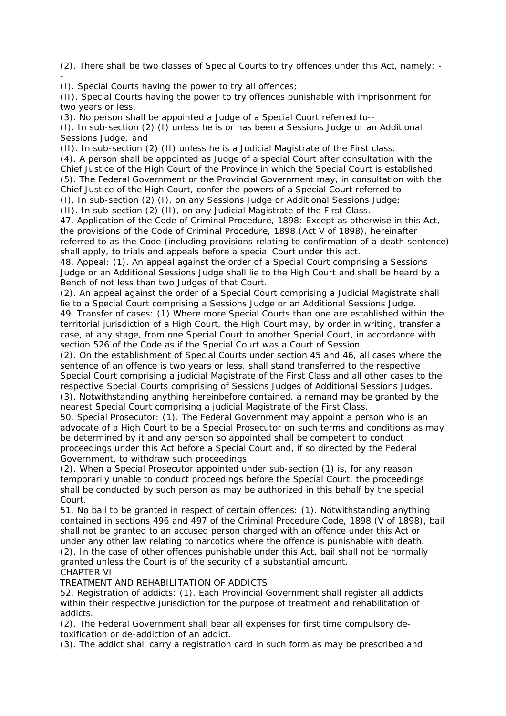(2). There shall be two classes of Special Courts to try offences under this Act, namely: - -

(I). Special Courts having the power to try all offences;

(II). Special Courts having the power to try offences punishable with imprisonment for two years or less.

(3). No person shall be appointed a Judge of a Special Court referred to--

(I). In sub-section (2) (I) unless he is or has been a Sessions Judge or an Additional Sessions Judge; and

(II). In sub-section (2) (II) unless he is a Judicial Magistrate of the First class.

(4). A person shall be appointed as Judge of a special Court after consultation with the Chief Justice of the High Court of the Province in which the Special Court is established. (5). The Federal Government or the Provincial Government may, in consultation with the Chief Justice of the High Court, confer the powers of a Special Court referred to –

(I). In sub-section (2) (I), on any Sessions Judge or Additional Sessions Judge;

(II). In sub-section (2) (II), on any Judicial Magistrate of the First Class.

47. Application of the Code of Criminal Procedure, 1898: Except as otherwise in this Act, the provisions of the Code of Criminal Procedure, 1898 (Act V of 1898), hereinafter referred to as the Code (including provisions relating to confirmation of a death sentence) shall apply, to trials and appeals before a special Court under this act.

48. Appeal: (1). An appeal against the order of a Special Court comprising a Sessions Judge or an Additional Sessions Judge shall lie to the High Court and shall be heard by a Bench of not less than two Judges of that Court.

(2). An appeal against the order of a Special Court comprising a Judicial Magistrate shall lie to a Special Court comprising a Sessions Judge or an Additional Sessions Judge.

49. Transfer of cases: (1) Where more Special Courts than one are established within the territorial jurisdiction of a High Court, the High Court may, by order in writing, transfer a case, at any stage, from one Special Court to another Special Court, in accordance with section 526 of the Code as if the Special Court was a Court of Session.

(2). On the establishment of Special Courts under section 45 and 46, all cases where the sentence of an offence is two years or less, shall stand transferred to the respective Special Court comprising a judicial Magistrate of the First Class and all other cases to the respective Special Courts comprising of Sessions Judges of Additional Sessions Judges. (3). Notwithstanding anything hereinbefore contained, a remand may be granted by the nearest Special Court comprising a judicial Magistrate of the First Class.

50. Special Prosecutor: (1). The Federal Government may appoint a person who is an advocate of a High Court to be a Special Prosecutor on such terms and conditions as may be determined by it and any person so appointed shall be competent to conduct proceedings under this Act before a Special Court and, if so directed by the Federal Government, to withdraw such proceedings.

(2). When a Special Prosecutor appointed under sub-section (1) is, for any reason temporarily unable to conduct proceedings before the Special Court, the proceedings shall be conducted by such person as may be authorized in this behalf by the special Court.

51. No bail to be granted in respect of certain offences: (1). Notwithstanding anything contained in sections 496 and 497 of the Criminal Procedure Code, 1898 (V of 1898), bail shall not be granted to an accused person charged with an offence under this Act or under any other law relating to narcotics where the offence is punishable with death. (2). In the case of other offences punishable under this Act, bail shall not be normally granted unless the Court is of the security of a substantial amount.

# CHAPTER VI

TREATMENT AND REHABILITATION OF ADDICTS 52. Registration of addicts: (1). Each Provincial Government shall register all addicts within their respective jurisdiction for the purpose of treatment and rehabilitation of addicts.

(2). The Federal Government shall bear all expenses for first time compulsory detoxification or de-addiction of an addict.

(3). The addict shall carry a registration card in such form as may be prescribed and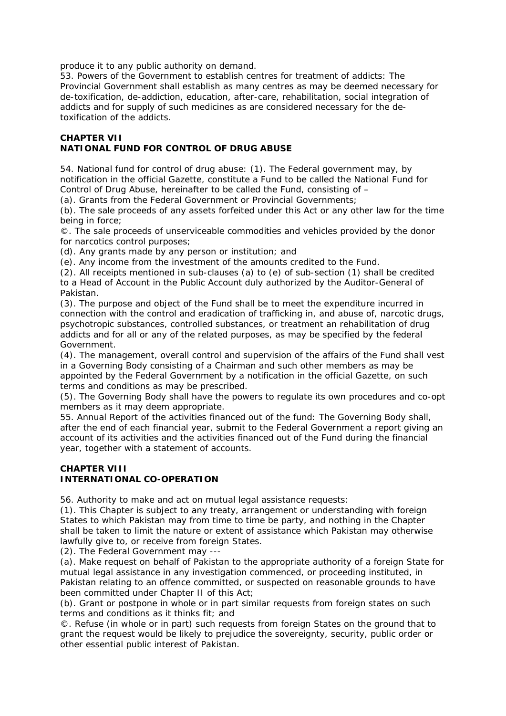produce it to any public authority on demand.

53. Powers of the Government to establish centres for treatment of addicts: The Provincial Government shall establish as many centres as may be deemed necessary for de-toxification, de-addiction, education, after-care, rehabilitation, social integration of addicts and for supply of such medicines as are considered necessary for the detoxification of the addicts.

## **CHAPTER VII NATIONAL FUND FOR CONTROL OF DRUG ABUSE**

54. National fund for control of drug abuse: (1). The Federal government may, by notification in the official Gazette, constitute a Fund to be called the National Fund for Control of Drug Abuse, hereinafter to be called the Fund, consisting of –

(a). Grants from the Federal Government or Provincial Governments;

(b). The sale proceeds of any assets forfeited under this Act or any other law for the time being in force;

©. The sale proceeds of unserviceable commodities and vehicles provided by the donor for narcotics control purposes;

(d). Any grants made by any person or institution; and

(e). Any income from the investment of the amounts credited to the Fund.

(2). All receipts mentioned in sub-clauses (a) to (e) of sub-section (1) shall be credited to a Head of Account in the Public Account duly authorized by the Auditor-General of Pakistan.

(3). The purpose and object of the Fund shall be to meet the expenditure incurred in connection with the control and eradication of trafficking in, and abuse of, narcotic drugs, psychotropic substances, controlled substances, or treatment an rehabilitation of drug addicts and for all or any of the related purposes, as may be specified by the federal Government.

(4). The management, overall control and supervision of the affairs of the Fund shall vest in a Governing Body consisting of a Chairman and such other members as may be appointed by the Federal Government by a notification in the official Gazette, on such terms and conditions as may be prescribed.

(5). The Governing Body shall have the powers to regulate its own procedures and co-opt members as it may deem appropriate.

55. Annual Report of the activities financed out of the fund: The Governing Body shall, after the end of each financial year, submit to the Federal Government a report giving an account of its activities and the activities financed out of the Fund during the financial year, together with a statement of accounts.

# **CHAPTER VIII INTERNATIONAL CO-OPERATION**

56. Authority to make and act on mutual legal assistance requests:

(1). This Chapter is subject to any treaty, arrangement or understanding with foreign States to which Pakistan may from time to time be party, and nothing in the Chapter shall be taken to limit the nature or extent of assistance which Pakistan may otherwise lawfully give to, or receive from foreign States.

(2). The Federal Government may ---

(a). Make request on behalf of Pakistan to the appropriate authority of a foreign State for mutual legal assistance in any investigation commenced, or proceeding instituted, in Pakistan relating to an offence committed, or suspected on reasonable grounds to have been committed under Chapter II of this Act;

(b). Grant or postpone in whole or in part similar requests from foreign states on such terms and conditions as it thinks fit; and

©. Refuse (in whole or in part) such requests from foreign States on the ground that to grant the request would be likely to prejudice the sovereignty, security, public order or other essential public interest of Pakistan.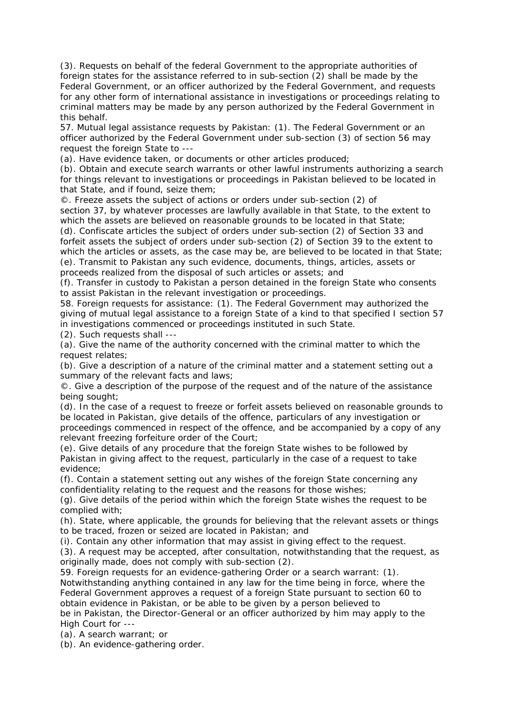(3). Requests on behalf of the federal Government to the appropriate authorities of foreign states for the assistance referred to in sub-section (2) shall be made by the Federal Government, or an officer authorized by the Federal Government, and requests for any other form of international assistance in investigations or proceedings relating to criminal matters may be made by any person authorized by the Federal Government in this behalf.

57. Mutual legal assistance requests by Pakistan: (1). The Federal Government or an officer authorized by the Federal Government under sub-section (3) of section 56 may request the foreign State to ---

(a). Have evidence taken, or documents or other articles produced;

(b). Obtain and execute search warrants or other lawful instruments authorizing a search for things relevant to investigations or proceedings in Pakistan believed to be located in that State, and if found, seize them;

©. Freeze assets the subject of actions or orders under sub-section (2) of section 37, by whatever processes are lawfully available in that State, to the extent to which the assets are believed on reasonable grounds to be located in that State; (d). Confiscate articles the subject of orders under sub-section (2) of Section 33 and forfeit assets the subject of orders under sub-section (2) of Section 39 to the extent to

which the articles or assets, as the case may be, are believed to be located in that State; (e). Transmit to Pakistan any such evidence, documents, things, articles, assets or proceeds realized from the disposal of such articles or assets; and

(f). Transfer in custody to Pakistan a person detained in the foreign State who consents to assist Pakistan in the relevant investigation or proceedings.

58. Foreign requests for assistance: (1). The Federal Government may authorized the giving of mutual legal assistance to a foreign State of a kind to that specified I section 57 in investigations commenced or proceedings instituted in such State.

(2). Such requests shall ---

(a). Give the name of the authority concerned with the criminal matter to which the request relates;

(b). Give a description of a nature of the criminal matter and a statement setting out a summary of the relevant facts and laws;

©. Give a description of the purpose of the request and of the nature of the assistance being sought;

(d). In the case of a request to freeze or forfeit assets believed on reasonable grounds to be located in Pakistan, give details of the offence, particulars of any investigation or proceedings commenced in respect of the offence, and be accompanied by a copy of any relevant freezing forfeiture order of the Court;

(e). Give details of any procedure that the foreign State wishes to be followed by Pakistan in giving affect to the request, particularly in the case of a request to take evidence;

(f). Contain a statement setting out any wishes of the foreign State concerning any confidentiality relating to the request and the reasons for those wishes;

(g). Give details of the period within which the foreign State wishes the request to be complied with;

(h). State, where applicable, the grounds for believing that the relevant assets or things to be traced, frozen or seized are located in Pakistan; and

(i). Contain any other information that may assist in giving effect to the request.

(3). A request may be accepted, after consultation, notwithstanding that the request, as originally made, does not comply with sub-section (2).

59. Foreign requests for an evidence-gathering Order or a search warrant: (1). Notwithstanding anything contained in any law for the time being in force, where the Federal Government approves a request of a foreign State pursuant to section 60 to obtain evidence in Pakistan, or be able to be given by a person believed to

be in Pakistan, the Director-General or an officer authorized by him may apply to the High Court for ---

(a). A search warrant; or

(b). An evidence-gathering order.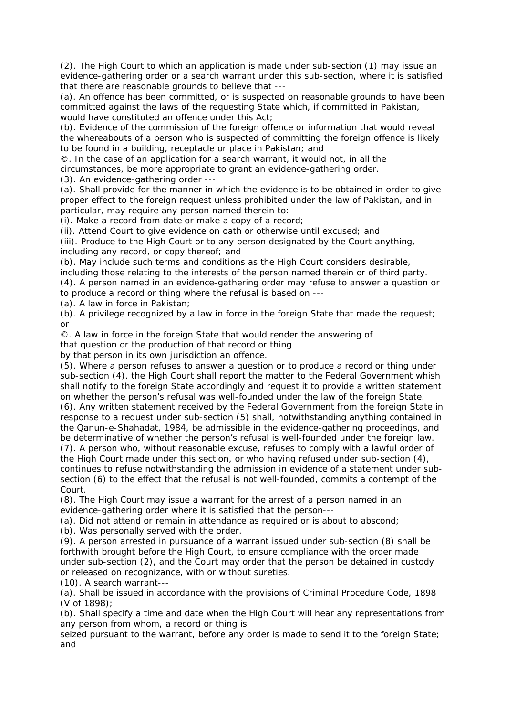(2). The High Court to which an application is made under sub-section (1) may issue an evidence-gathering order or a search warrant under this sub-section, where it is satisfied that there are reasonable grounds to believe that ---

(a). An offence has been committed, or is suspected on reasonable grounds to have been committed against the laws of the requesting State which, if committed in Pakistan, would have constituted an offence under this Act;

(b). Evidence of the commission of the foreign offence or information that would reveal the whereabouts of a person who is suspected of committing the foreign offence is likely to be found in a building, receptacle or place in Pakistan; and

©. In the case of an application for a search warrant, it would not, in all the circumstances, be more appropriate to grant an evidence-gathering order.

(3). An evidence-gathering order ---

(a). Shall provide for the manner in which the evidence is to be obtained in order to give proper effect to the foreign request unless prohibited under the law of Pakistan, and in particular, may require any person named therein to:

(i). Make a record from date or make a copy of a record;

(ii). Attend Court to give evidence on oath or otherwise until excused; and

(iii). Produce to the High Court or to any person designated by the Court anything, including any record, or copy thereof; and

(b). May include such terms and conditions as the High Court considers desirable,

including those relating to the interests of the person named therein or of third party. (4). A person named in an evidence-gathering order may refuse to answer a question or

to produce a record or thing where the refusal is based on ---

(a). A law in force in Pakistan;

(b). A privilege recognized by a law in force in the foreign State that made the request; or

©. A law in force in the foreign State that would render the answering of

that question or the production of that record or thing

by that person in its own jurisdiction an offence.

(5). Where a person refuses to answer a question or to produce a record or thing under sub-section (4), the High Court shall report the matter to the Federal Government whish shall notify to the foreign State accordingly and request it to provide a written statement on whether the person's refusal was well-founded under the law of the foreign State.

(6). Any written statement received by the Federal Government from the foreign State in response to a request under sub-section (5) shall, notwithstanding anything contained in the Qanun-e-Shahadat, 1984, be admissible in the evidence-gathering proceedings, and be determinative of whether the person's refusal is well-founded under the foreign law.

(7). A person who, without reasonable excuse, refuses to comply with a lawful order of the High Court made under this section, or who having refused under sub-section (4), continues to refuse notwithstanding the admission in evidence of a statement under subsection (6) to the effect that the refusal is not well-founded, commits a contempt of the Court.

(8). The High Court may issue a warrant for the arrest of a person named in an evidence-gathering order where it is satisfied that the person---

(a). Did not attend or remain in attendance as required or is about to abscond;

(b). Was personally served with the order.

(9). A person arrested in pursuance of a warrant issued under sub-section (8) shall be forthwith brought before the High Court, to ensure compliance with the order made under sub-section (2), and the Court may order that the person be detained in custody or released on recognizance, with or without sureties.

(10). A search warrant---

(a). Shall be issued in accordance with the provisions of Criminal Procedure Code, 1898 (V of 1898);

(b). Shall specify a time and date when the High Court will hear any representations from any person from whom, a record or thing is

seized pursuant to the warrant, before any order is made to send it to the foreign State; and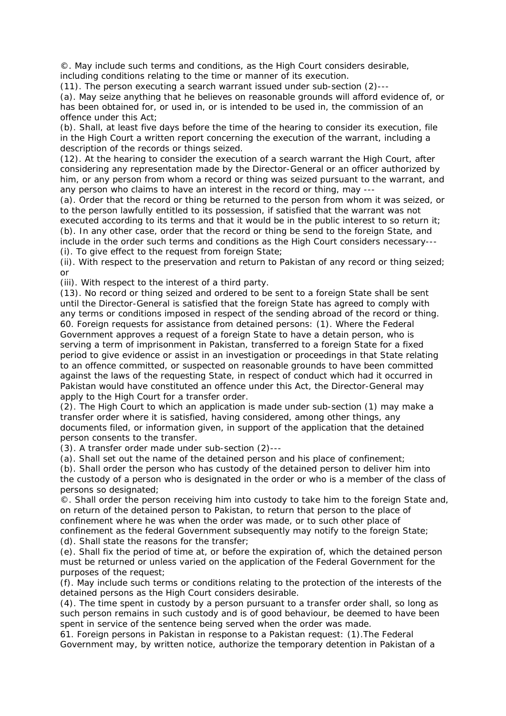©. May include such terms and conditions, as the High Court considers desirable, including conditions relating to the time or manner of its execution.

(11). The person executing a search warrant issued under sub-section (2)--- (a). May seize anything that he believes on reasonable grounds will afford evidence of, or has been obtained for, or used in, or is intended to be used in, the commission of an offence under this Act;

(b). Shall, at least five days before the time of the hearing to consider its execution, file in the High Court a written report concerning the execution of the warrant, including a description of the records or things seized.

(12). At the hearing to consider the execution of a search warrant the High Court, after considering any representation made by the Director-General or an officer authorized by him, or any person from whom a record or thing was seized pursuant to the warrant, and any person who claims to have an interest in the record or thing, may ---

(a). Order that the record or thing be returned to the person from whom it was seized, or to the person lawfully entitled to its possession, if satisfied that the warrant was not executed according to its terms and that it would be in the public interest to so return it; (b). In any other case, order that the record or thing be send to the foreign State, and include in the order such terms and conditions as the High Court considers necessary--- (i). To give effect to the request from foreign State;

(ii). With respect to the preservation and return to Pakistan of any record or thing seized; or

(iii). With respect to the interest of a third party.

(13). No record or thing seized and ordered to be sent to a foreign State shall be sent until the Director-General is satisfied that the foreign State has agreed to comply with any terms or conditions imposed in respect of the sending abroad of the record or thing. 60. Foreign requests for assistance from detained persons: (1). Where the Federal Government approves a request of a foreign State to have a detain person, who is serving a term of imprisonment in Pakistan, transferred to a foreign State for a fixed period to give evidence or assist in an investigation or proceedings in that State relating to an offence committed, or suspected on reasonable grounds to have been committed against the laws of the requesting State, in respect of conduct which had it occurred in Pakistan would have constituted an offence under this Act, the Director-General may apply to the High Court for a transfer order.

(2). The High Court to which an application is made under sub-section (1) may make a transfer order where it is satisfied, having considered, among other things, any documents filed, or information given, in support of the application that the detained person consents to the transfer.

(3). A transfer order made under sub-section (2)---

(a). Shall set out the name of the detained person and his place of confinement;

(b). Shall order the person who has custody of the detained person to deliver him into the custody of a person who is designated in the order or who is a member of the class of persons so designated;

©. Shall order the person receiving him into custody to take him to the foreign State and, on return of the detained person to Pakistan, to return that person to the place of confinement where he was when the order was made, or to such other place of

confinement as the federal Government subsequently may notify to the foreign State; (d). Shall state the reasons for the transfer;

(e). Shall fix the period of time at, or before the expiration of, which the detained person must be returned or unless varied on the application of the Federal Government for the purposes of the request;

(f). May include such terms or conditions relating to the protection of the interests of the detained persons as the High Court considers desirable.

(4). The time spent in custody by a person pursuant to a transfer order shall, so long as such person remains in such custody and is of good behaviour, be deemed to have been spent in service of the sentence being served when the order was made.

61. Foreign persons in Pakistan in response to a Pakistan request: (1).The Federal Government may, by written notice, authorize the temporary detention in Pakistan of a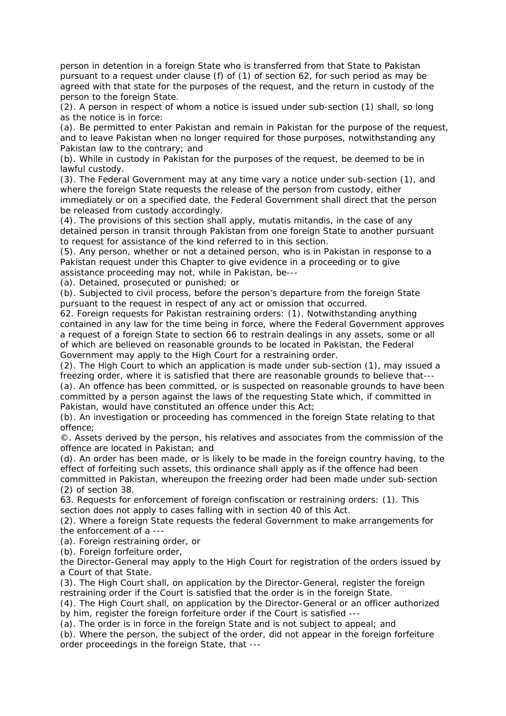person in detention in a foreign State who is transferred from that State to Pakistan pursuant to a request under clause (f) of (1) of section 62, for such period as may be agreed with that state for the purposes of the request, and the return in custody of the person to the foreign State.

(2). A person in respect of whom a notice is issued under sub-section (1) shall, so long as the notice is in force:

(a). Be permitted to enter Pakistan and remain in Pakistan for the purpose of the request, and to leave Pakistan when no longer required for those purposes, notwithstanding any Pakistan law to the contrary; and

(b). While in custody in Pakistan for the purposes of the request, be deemed to be in lawful custody.

(3). The Federal Government may at any time vary a notice under sub-section (1), and where the foreign State requests the release of the person from custody, either immediately or on a specified date, the Federal Government shall direct that the person be released from custody accordingly.

(4). The provisions of this section shall apply, mutatis mitandis, in the case of any detained person in transit through Pakistan from one foreign State to another pursuant to request for assistance of the kind referred to in this section.

(5). Any person, whether or not a detained person, who is in Pakistan in response to a Pakistan request under this Chapter to give evidence in a proceeding or to give assistance proceeding may not, while in Pakistan, be---

(a). Detained, prosecuted or punished; or

(b). Subjected to civil process, before the person's departure from the foreign State pursuant to the request in respect of any act or omission that occurred.

62. Foreign requests for Pakistan restraining orders: (1). Notwithstanding anything contained in any law for the time being in force, where the Federal Government approves a request of a foreign State to section 66 to restrain dealings in any assets, some or all of which are believed on reasonable grounds to be located in Pakistan, the Federal Government may apply to the High Court for a restraining order.

(2). The High Court to which an application is made under sub-section (1), may issued a freezing order, where it is satisfied that there are reasonable grounds to believe that--- (a). An offence has been committed, or is suspected on reasonable grounds to have been committed by a person against the laws of the requesting State which, if committed in Pakistan, would have constituted an offence under this Act;

(b). An investigation or proceeding has commenced in the foreign State relating to that offence;

©. Assets derived by the person, his relatives and associates from the commission of the offence are located in Pakistan; and

(d). An order has been made, or is likely to be made in the foreign country having, to the effect of forfeiting such assets, this ordinance shall apply as if the offence had been committed in Pakistan, whereupon the freezing order had been made under sub-section (2) of section 38.

63. Requests for enforcement of foreign confiscation or restraining orders: (1). This section does not apply to cases falling with in section 40 of this Act.

(2). Where a foreign State requests the federal Government to make arrangements for the enforcement of a ---

(a). Foreign restraining order, or

(b). Foreign forfeiture order,

the Director-General may apply to the High Court for registration of the orders issued by a Court of that State.

(3). The High Court shall, on application by the Director-General, register the foreign restraining order if the Court is satisfied that the order is in the foreign State.

(4). The High Court shall, on application by the Director-General or an officer authorized by him, register the foreign forfeiture order if the Court is satisfied ---

(a). The order is in force in the foreign State and is not subject to appeal; and

(b). Where the person, the subject of the order, did not appear in the foreign forfeiture order proceedings in the foreign State, that ---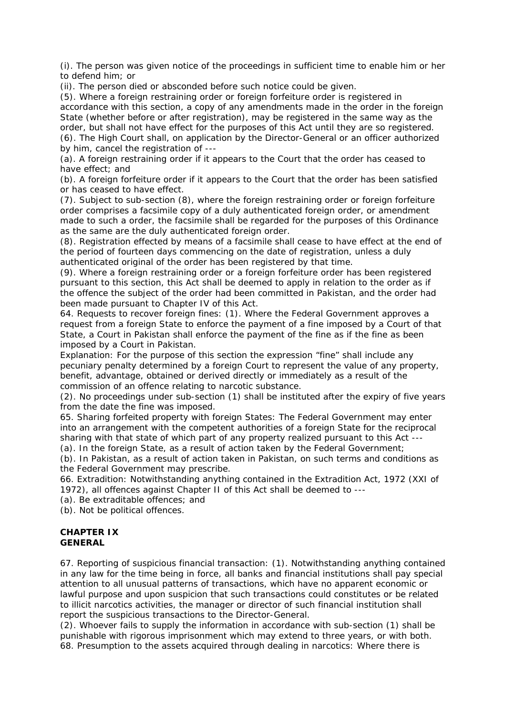(i). The person was given notice of the proceedings in sufficient time to enable him or her to defend him; or

(ii). The person died or absconded before such notice could be given.

(5). Where a foreign restraining order or foreign forfeiture order is registered in accordance with this section, a copy of any amendments made in the order in the foreign State (whether before or after registration), may be registered in the same way as the order, but shall not have effect for the purposes of this Act until they are so registered. (6). The High Court shall, on application by the Director-General or an officer authorized by him, cancel the registration of ---

(a). A foreign restraining order if it appears to the Court that the order has ceased to have effect; and

(b). A foreign forfeiture order if it appears to the Court that the order has been satisfied or has ceased to have effect.

(7). Subject to sub-section (8), where the foreign restraining order or foreign forfeiture order comprises a facsimile copy of a duly authenticated foreign order, or amendment made to such a order, the facsimile shall be regarded for the purposes of this Ordinance as the same are the duly authenticated foreign order.

(8). Registration effected by means of a facsimile shall cease to have effect at the end of the period of fourteen days commencing on the date of registration, unless a duly authenticated original of the order has been registered by that time.

(9). Where a foreign restraining order or a foreign forfeiture order has been registered pursuant to this section, this Act shall be deemed to apply in relation to the order as if the offence the subject of the order had been committed in Pakistan, and the order had been made pursuant to Chapter IV of this Act.

64. Requests to recover foreign fines: (1). Where the Federal Government approves a request from a foreign State to enforce the payment of a fine imposed by a Court of that State, a Court in Pakistan shall enforce the payment of the fine as if the fine as been imposed by a Court in Pakistan.

Explanation: For the purpose of this section the expression "fine" shall include any pecuniary penalty determined by a foreign Court to represent the value of any property, benefit, advantage, obtained or derived directly or immediately as a result of the commission of an offence relating to narcotic substance.

(2). No proceedings under sub-section (1) shall be instituted after the expiry of five years from the date the fine was imposed.

65. Sharing forfeited property with foreign States: The Federal Government may enter into an arrangement with the competent authorities of a foreign State for the reciprocal sharing with that state of which part of any property realized pursuant to this Act --- (a). In the foreign State, as a result of action taken by the Federal Government;

(b). In Pakistan, as a result of action taken in Pakistan, on such terms and conditions as the Federal Government may prescribe.

66. Extradition: Notwithstanding anything contained in the Extradition Act, 1972 (XXI of 1972), all offences against Chapter II of this Act shall be deemed to ---

(a). Be extraditable offences; and

(b). Not be political offences.

#### **CHAPTER IX GENERAL**

67. Reporting of suspicious financial transaction: (1). Notwithstanding anything contained in any law for the time being in force, all banks and financial institutions shall pay special attention to all unusual patterns of transactions, which have no apparent economic or lawful purpose and upon suspicion that such transactions could constitutes or be related to illicit narcotics activities, the manager or director of such financial institution shall report the suspicious transactions to the Director-General.

(2). Whoever fails to supply the information in accordance with sub-section (1) shall be punishable with rigorous imprisonment which may extend to three years, or with both. 68. Presumption to the assets acquired through dealing in narcotics: Where there is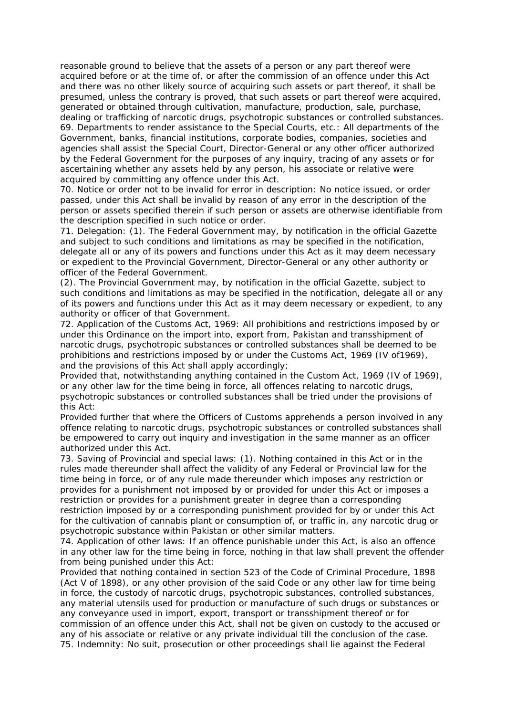reasonable ground to believe that the assets of a person or any part thereof were acquired before or at the time of, or after the commission of an offence under this Act and there was no other likely source of acquiring such assets or part thereof, it shall be presumed, unless the contrary is proved, that such assets or part thereof were acquired, generated or obtained through cultivation, manufacture, production, sale, purchase, dealing or trafficking of narcotic drugs, psychotropic substances or controlled substances. 69. Departments to render assistance to the Special Courts, etc.: All departments of the Government, banks, financial institutions, corporate bodies, companies, societies and agencies shall assist the Special Court, Director-General or any other officer authorized by the Federal Government for the purposes of any inquiry, tracing of any assets or for ascertaining whether any assets held by any person, his associate or relative were acquired by committing any offence under this Act.

70. Notice or order not to be invalid for error in description: No notice issued, or order passed, under this Act shall be invalid by reason of any error in the description of the person or assets specified therein if such person or assets are otherwise identifiable from the description specified in such notice or order.

71. Delegation: (1). The Federal Government may, by notification in the official Gazette and subject to such conditions and limitations as may be specified in the notification, delegate all or any of its powers and functions under this Act as it may deem necessary or expedient to the Provincial Government, Director-General or any other authority or officer of the Federal Government.

(2). The Provincial Government may, by notification in the official Gazette, subject to such conditions and limitations as may be specified in the notification, delegate all or any of its powers and functions under this Act as it may deem necessary or expedient, to any authority or officer of that Government.

72. Application of the Customs Act, 1969: All prohibitions and restrictions imposed by or under this Ordinance on the import into, export from, Pakistan and transshipment of narcotic drugs, psychotropic substances or controlled substances shall be deemed to be prohibitions and restrictions imposed by or under the Customs Act, 1969 (IV of1969), and the provisions of this Act shall apply accordingly;

Provided that, notwithstanding anything contained in the Custom Act, 1969 (IV of 1969), or any other law for the time being in force, all offences relating to narcotic drugs, psychotropic substances or controlled substances shall be tried under the provisions of this Act:

Provided further that where the Officers of Customs apprehends a person involved in any offence relating to narcotic drugs, psychotropic substances or controlled substances shall be empowered to carry out inquiry and investigation in the same manner as an officer authorized under this Act.

73. Saving of Provincial and special laws: (1). Nothing contained in this Act or in the rules made thereunder shall affect the validity of any Federal or Provincial law for the time being in force, or of any rule made thereunder which imposes any restriction or provides for a punishment not imposed by or provided for under this Act or imposes a restriction or provides for a punishment greater in degree than a corresponding restriction imposed by or a corresponding punishment provided for by or under this Act for the cultivation of cannabis plant or consumption of, or traffic in, any narcotic drug or psychotropic substance within Pakistan or other similar matters.

74. Application of other laws: If an offence punishable under this Act, is also an offence in any other law for the time being in force, nothing in that law shall prevent the offender from being punished under this Act:

Provided that nothing contained in section 523 of the Code of Criminal Procedure, 1898 (Act V of 1898), or any other provision of the said Code or any other law for time being in force, the custody of narcotic drugs, psychotropic substances, controlled substances, any material utensils used for production or manufacture of such drugs or substances or any conveyance used in import, export, transport or transshipment thereof or for commission of an offence under this Act, shall not be given on custody to the accused or any of his associate or relative or any private individual till the conclusion of the case. 75. Indemnity: No suit, prosecution or other proceedings shall lie against the Federal